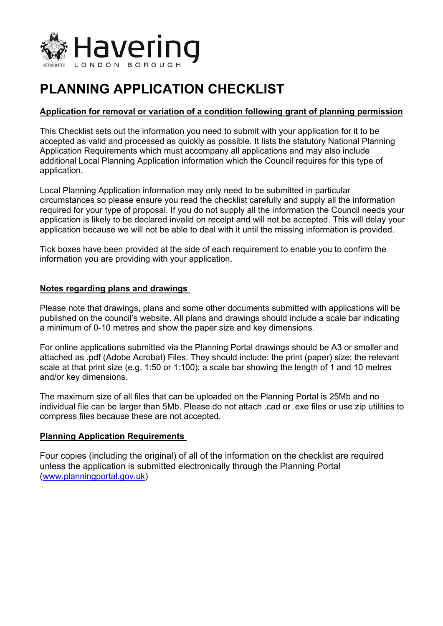

# **PLANNING APPLICATION CHECKLIST**

# **Application for removal or variation of a condition following grant of planning permission**

This Checklist sets out the information you need to submit with your application for it to be accepted as valid and processed as quickly as possible. It lists the statutory National Planning Application Requirements which must accompany all applications and may also include additional Local Planning Application information which the Council requires for this type of application.

Local Planning Application information may only need to be submitted in particular circumstances so please ensure you read the checklist carefully and supply all the information required for your type of proposal. If you do not supply all the information the Council needs your application is likely to be declared invalid on receipt and will not be accepted. This will delay your application because we will not be able to deal with it until the missing information is provided.

Tick boxes have been provided at the side of each requirement to enable you to confirm the information you are providing with your application.

#### **Notes regarding plans and drawings**

Please note that drawings, plans and some other documents submitted with applications will be published on the council's website. All plans and drawings should include a scale bar indicating a minimum of 0-10 metres and show the paper size and key dimensions.

For online applications submitted via the Planning Portal drawings should be A3 or smaller and attached as .pdf (Adobe Acrobat) Files. They should include: the print (paper) size; the relevant scale at that print size (e.g. 1:50 or 1:100); a scale bar showing the length of 1 and 10 metres and/or key dimensions.

The maximum size of all files that can be uploaded on the Planning Portal is 25Mb and no individual file can be larger than 5Mb. Please do not attach .cad or .exe files or use zip utilities to compress files because these are not accepted.

# **Planning Application Requirements**

Four copies (including the original) of all of the information on the checklist are required unless the application is submitted electronically through the Planning Portal ([www.planningportal.gov.uk](http://www.planningportal.gov.uk/))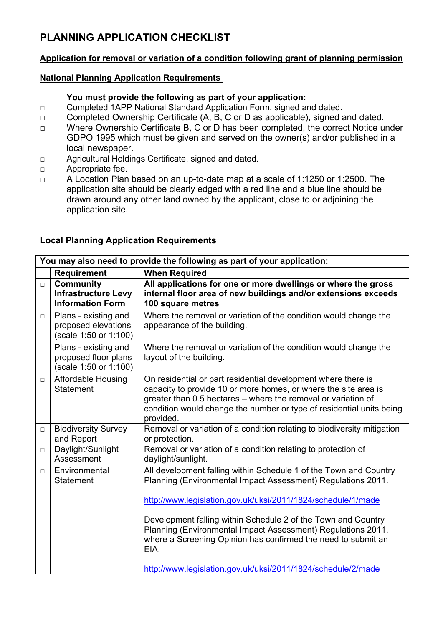# **PLANNING APPLICATION CHECKLIST**

# **Application for removal or variation of a condition following grant of planning permission**

### **National Planning Application Requirements**

### **You must provide the following as part of your application:**

- □ Completed 1APP National Standard Application Form, signed and dated.
- □ Completed Ownership Certificate (A, B, C or D as applicable), signed and dated.
- □ Where Ownership Certificate B, C or D has been completed, the correct Notice under GDPO 1995 which must be given and served on the owner(s) and/or published in a local newspaper.
- □ Agricultural Holdings Certificate, signed and dated.
- □ Appropriate fee.
- □ A Location Plan based on an up-to-date map at a scale of 1:1250 or 1:2500. The application site should be clearly edged with a red line and a blue line should be drawn around any other land owned by the applicant, close to or adjoining the application site.

| You may also need to provide the following as part of your application: |                                                                           |                                                                                                                                                                                                                                                                                                                                                                                                                                                                             |  |
|-------------------------------------------------------------------------|---------------------------------------------------------------------------|-----------------------------------------------------------------------------------------------------------------------------------------------------------------------------------------------------------------------------------------------------------------------------------------------------------------------------------------------------------------------------------------------------------------------------------------------------------------------------|--|
|                                                                         | <b>Requirement</b>                                                        | <b>When Required</b>                                                                                                                                                                                                                                                                                                                                                                                                                                                        |  |
| $\Box$                                                                  | <b>Community</b><br><b>Infrastructure Levy</b><br><b>Information Form</b> | All applications for one or more dwellings or where the gross<br>internal floor area of new buildings and/or extensions exceeds<br>100 square metres                                                                                                                                                                                                                                                                                                                        |  |
| $\Box$                                                                  | Plans - existing and<br>proposed elevations<br>(scale 1:50 or 1:100)      | Where the removal or variation of the condition would change the<br>appearance of the building.                                                                                                                                                                                                                                                                                                                                                                             |  |
|                                                                         | Plans - existing and<br>proposed floor plans<br>(scale 1:50 or 1:100)     | Where the removal or variation of the condition would change the<br>layout of the building.                                                                                                                                                                                                                                                                                                                                                                                 |  |
| $\Box$                                                                  | <b>Affordable Housing</b><br><b>Statement</b>                             | On residential or part residential development where there is<br>capacity to provide 10 or more homes, or where the site area is<br>greater than 0.5 hectares - where the removal or variation of<br>condition would change the number or type of residential units being<br>provided.                                                                                                                                                                                      |  |
| $\Box$                                                                  | <b>Biodiversity Survey</b><br>and Report                                  | Removal or variation of a condition relating to biodiversity mitigation<br>or protection.                                                                                                                                                                                                                                                                                                                                                                                   |  |
| $\Box$                                                                  | Daylight/Sunlight<br>Assessment                                           | Removal or variation of a condition relating to protection of<br>daylight/sunlight.                                                                                                                                                                                                                                                                                                                                                                                         |  |
| $\Box$                                                                  | Environmental<br><b>Statement</b>                                         | All development falling within Schedule 1 of the Town and Country<br>Planning (Environmental Impact Assessment) Regulations 2011.<br>http://www.legislation.gov.uk/uksi/2011/1824/schedule/1/made<br>Development falling within Schedule 2 of the Town and Country<br>Planning (Environmental Impact Assessment) Regulations 2011,<br>where a Screening Opinion has confirmed the need to submit an<br>EIA.<br>http://www.legislation.gov.uk/uksi/2011/1824/schedule/2/made |  |

#### **Local Planning Application Requirements**